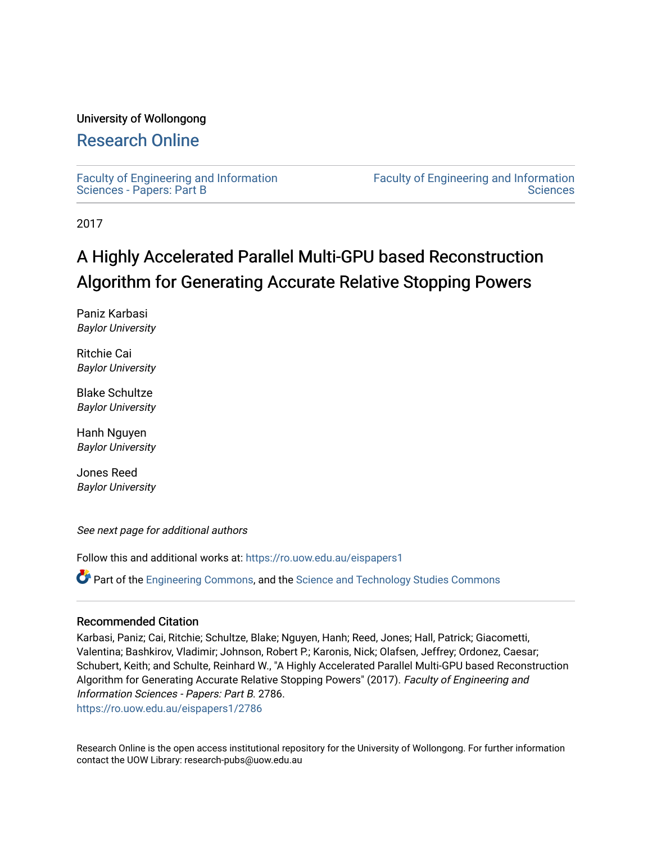## University of Wollongong

## [Research Online](https://ro.uow.edu.au/)

[Faculty of Engineering and Information](https://ro.uow.edu.au/eispapers1)  [Sciences - Papers: Part B](https://ro.uow.edu.au/eispapers1)

[Faculty of Engineering and Information](https://ro.uow.edu.au/eis)  **Sciences** 

2017

## A Highly Accelerated Parallel Multi-GPU based Reconstruction Algorithm for Generating Accurate Relative Stopping Powers

Paniz Karbasi Baylor University

Ritchie Cai Baylor University

Blake Schultze Baylor University

Hanh Nguyen Baylor University

Jones Reed Baylor University

See next page for additional authors

Follow this and additional works at: [https://ro.uow.edu.au/eispapers1](https://ro.uow.edu.au/eispapers1?utm_source=ro.uow.edu.au%2Feispapers1%2F2786&utm_medium=PDF&utm_campaign=PDFCoverPages) 

Part of the [Engineering Commons](http://network.bepress.com/hgg/discipline/217?utm_source=ro.uow.edu.au%2Feispapers1%2F2786&utm_medium=PDF&utm_campaign=PDFCoverPages), and the [Science and Technology Studies Commons](http://network.bepress.com/hgg/discipline/435?utm_source=ro.uow.edu.au%2Feispapers1%2F2786&utm_medium=PDF&utm_campaign=PDFCoverPages)

## Recommended Citation

Karbasi, Paniz; Cai, Ritchie; Schultze, Blake; Nguyen, Hanh; Reed, Jones; Hall, Patrick; Giacometti, Valentina; Bashkirov, Vladimir; Johnson, Robert P.; Karonis, Nick; Olafsen, Jeffrey; Ordonez, Caesar; Schubert, Keith; and Schulte, Reinhard W., "A Highly Accelerated Parallel Multi-GPU based Reconstruction Algorithm for Generating Accurate Relative Stopping Powers" (2017). Faculty of Engineering and Information Sciences - Papers: Part B. 2786.

[https://ro.uow.edu.au/eispapers1/2786](https://ro.uow.edu.au/eispapers1/2786?utm_source=ro.uow.edu.au%2Feispapers1%2F2786&utm_medium=PDF&utm_campaign=PDFCoverPages)

Research Online is the open access institutional repository for the University of Wollongong. For further information contact the UOW Library: research-pubs@uow.edu.au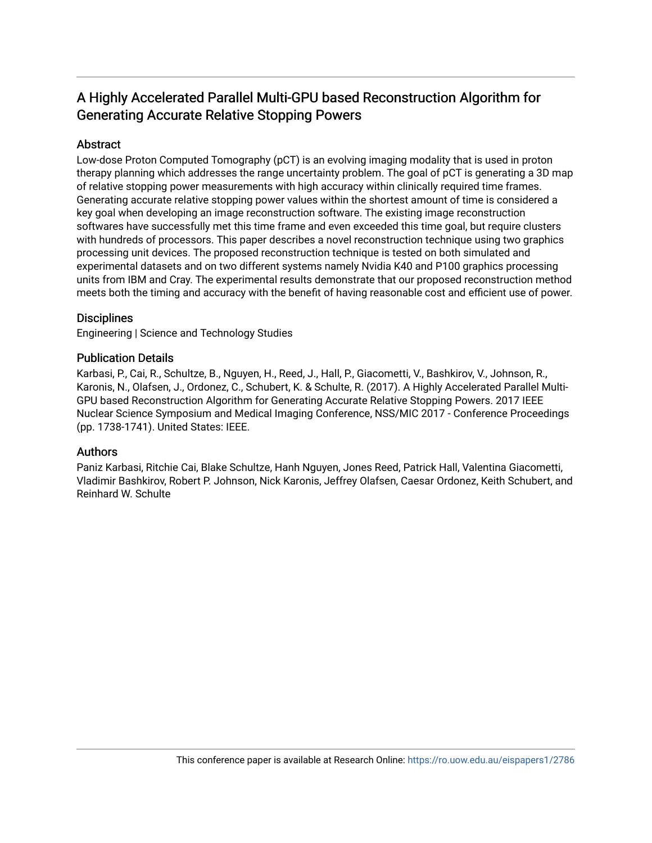## A Highly Accelerated Parallel Multi-GPU based Reconstruction Algorithm for Generating Accurate Relative Stopping Powers

## **Abstract**

Low-dose Proton Computed Tomography (pCT) is an evolving imaging modality that is used in proton therapy planning which addresses the range uncertainty problem. The goal of pCT is generating a 3D map of relative stopping power measurements with high accuracy within clinically required time frames. Generating accurate relative stopping power values within the shortest amount of time is considered a key goal when developing an image reconstruction software. The existing image reconstruction softwares have successfully met this time frame and even exceeded this time goal, but require clusters with hundreds of processors. This paper describes a novel reconstruction technique using two graphics processing unit devices. The proposed reconstruction technique is tested on both simulated and experimental datasets and on two different systems namely Nvidia K40 and P100 graphics processing units from IBM and Cray. The experimental results demonstrate that our proposed reconstruction method meets both the timing and accuracy with the benefit of having reasonable cost and efficient use of power.

## **Disciplines**

Engineering | Science and Technology Studies

## Publication Details

Karbasi, P., Cai, R., Schultze, B., Nguyen, H., Reed, J., Hall, P., Giacometti, V., Bashkirov, V., Johnson, R., Karonis, N., Olafsen, J., Ordonez, C., Schubert, K. & Schulte, R. (2017). A Highly Accelerated Parallel Multi-GPU based Reconstruction Algorithm for Generating Accurate Relative Stopping Powers. 2017 IEEE Nuclear Science Symposium and Medical Imaging Conference, NSS/MIC 2017 - Conference Proceedings (pp. 1738-1741). United States: IEEE.

## Authors

Paniz Karbasi, Ritchie Cai, Blake Schultze, Hanh Nguyen, Jones Reed, Patrick Hall, Valentina Giacometti, Vladimir Bashkirov, Robert P. Johnson, Nick Karonis, Jeffrey Olafsen, Caesar Ordonez, Keith Schubert, and Reinhard W. Schulte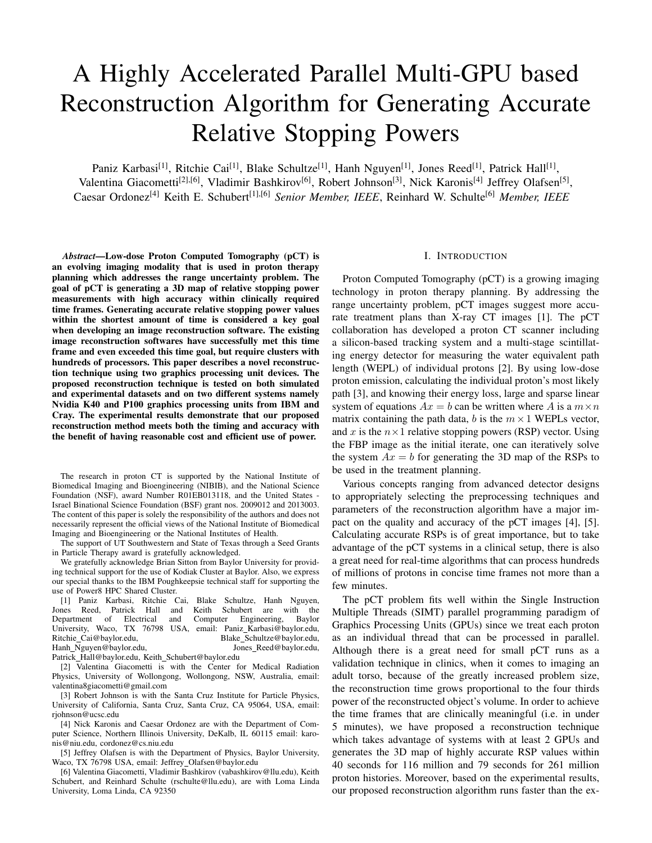# A Highly Accelerated Parallel Multi-GPU based Reconstruction Algorithm for Generating Accurate Relative Stopping Powers

Paniz Karbasi<sup>[1]</sup>, Ritchie Cai<sup>[1]</sup>, Blake Schultze<sup>[1]</sup>, Hanh Nguyen<sup>[1]</sup>, Jones Reed<sup>[1]</sup>, Patrick Hall<sup>[1]</sup>, Valentina Giacometti<sup>[2],[6]</sup>, Vladimir Bashkirov<sup>[6]</sup>, Robert Johnson<sup>[3]</sup>, Nick Karonis<sup>[4]</sup> Jeffrey Olafsen<sup>[5]</sup>, Caesar Ordonez[4] Keith E. Schubert[1],[6] *Senior Member, IEEE*, Reinhard W. Schulte[6] *Member, IEEE*

*Abstract*—Low-dose Proton Computed Tomography (pCT) is an evolving imaging modality that is used in proton therapy planning which addresses the range uncertainty problem. The goal of pCT is generating a 3D map of relative stopping power measurements with high accuracy within clinically required time frames. Generating accurate relative stopping power values within the shortest amount of time is considered a key goal when developing an image reconstruction software. The existing image reconstruction softwares have successfully met this time frame and even exceeded this time goal, but require clusters with hundreds of processors. This paper describes a novel reconstruction technique using two graphics processing unit devices. The proposed reconstruction technique is tested on both simulated and experimental datasets and on two different systems namely Nvidia K40 and P100 graphics processing units from IBM and Cray. The experimental results demonstrate that our proposed reconstruction method meets both the timing and accuracy with the benefit of having reasonable cost and efficient use of power.

The research in proton CT is supported by the National Institute of Biomedical Imaging and Bioengineering (NIBIB), and the National Science Foundation (NSF), award Number R01EB013118, and the United States - Israel Binational Science Foundation (BSF) grant nos. 2009012 and 2013003. The content of this paper is solely the responsibility of the authors and does not necessarily represent the official views of the National Institute of Biomedical Imaging and Bioengineering or the National Institutes of Health.

The support of UT Southwestern and State of Texas through a Seed Grants in Particle Therapy award is gratefully acknowledged.

We gratefully acknowledge Brian Sitton from Baylor University for providing technical support for the use of Kodiak Cluster at Baylor. Also, we express our special thanks to the IBM Poughkeepsie technical staff for supporting the use of Power8 HPC Shared Cluster.

[1] Paniz Karbasi, Ritchie Cai, Blake Schultze, Hanh Nguyen, Jones Reed, Patrick Hall and Keith Schubert are with the Department of Electrical and Computer Engineering, Baylor University, Waco, TX 76798 USA, email: Paniz\_Karbasi@baylor.edu,<br>Ritchie Cai@baylor.edu, Blake Schultze@baylor.edu, Blake Schultze@baylor.edu, Hanh Nguyen@baylor.edu, Jones Reed@baylor.edu, Patrick Hall@baylor.edu, Keith Schubert@baylor.edu

[2] Valentina Giacometti is with the Center for Medical Radiation Physics, University of Wollongong, Wollongong, NSW, Australia, email: valentina8giacometti@gmail.com

[3] Robert Johnson is with the Santa Cruz Institute for Particle Physics, University of California, Santa Cruz, Santa Cruz, CA 95064, USA, email: rjohnson@ucsc.edu

[4] Nick Karonis and Caesar Ordonez are with the Department of Computer Science, Northern Illinois University, DeKalb, IL 60115 email: karonis@niu.edu, cordonez@cs.niu.edu

[5] Jeffrey Olafsen is with the Department of Physics, Baylor University, Waco, TX 76798 USA, email: Jeffrey\_Olafsen@baylor.edu

[6] Valentina Giacometti, Vladimir Bashkirov (vabashkirov@llu.edu), Keith Schubert, and Reinhard Schulte (rschulte@llu.edu), are with Loma Linda University, Loma Linda, CA 92350

#### I. INTRODUCTION

Proton Computed Tomography (pCT) is a growing imaging technology in proton therapy planning. By addressing the range uncertainty problem, pCT images suggest more accurate treatment plans than X-ray CT images [1]. The pCT collaboration has developed a proton CT scanner including a silicon-based tracking system and a multi-stage scintillating energy detector for measuring the water equivalent path length (WEPL) of individual protons [2]. By using low-dose proton emission, calculating the individual proton's most likely path [3], and knowing their energy loss, large and sparse linear system of equations  $Ax = b$  can be written where A is a  $m \times n$ matrix containing the path data, b is the  $m \times 1$  WEPLs vector, and x is the  $n \times 1$  relative stopping powers (RSP) vector. Using the FBP image as the initial iterate, one can iteratively solve the system  $Ax = b$  for generating the 3D map of the RSPs to be used in the treatment planning.

Various concepts ranging from advanced detector designs to appropriately selecting the preprocessing techniques and parameters of the reconstruction algorithm have a major impact on the quality and accuracy of the pCT images [4], [5]. Calculating accurate RSPs is of great importance, but to take advantage of the pCT systems in a clinical setup, there is also a great need for real-time algorithms that can process hundreds of millions of protons in concise time frames not more than a few minutes.

The pCT problem fits well within the Single Instruction Multiple Threads (SIMT) parallel programming paradigm of Graphics Processing Units (GPUs) since we treat each proton as an individual thread that can be processed in parallel. Although there is a great need for small pCT runs as a validation technique in clinics, when it comes to imaging an adult torso, because of the greatly increased problem size, the reconstruction time grows proportional to the four thirds power of the reconstructed object's volume. In order to achieve the time frames that are clinically meaningful (i.e. in under 5 minutes), we have proposed a reconstruction technique which takes advantage of systems with at least 2 GPUs and generates the 3D map of highly accurate RSP values within 40 seconds for 116 million and 79 seconds for 261 million proton histories. Moreover, based on the experimental results, our proposed reconstruction algorithm runs faster than the ex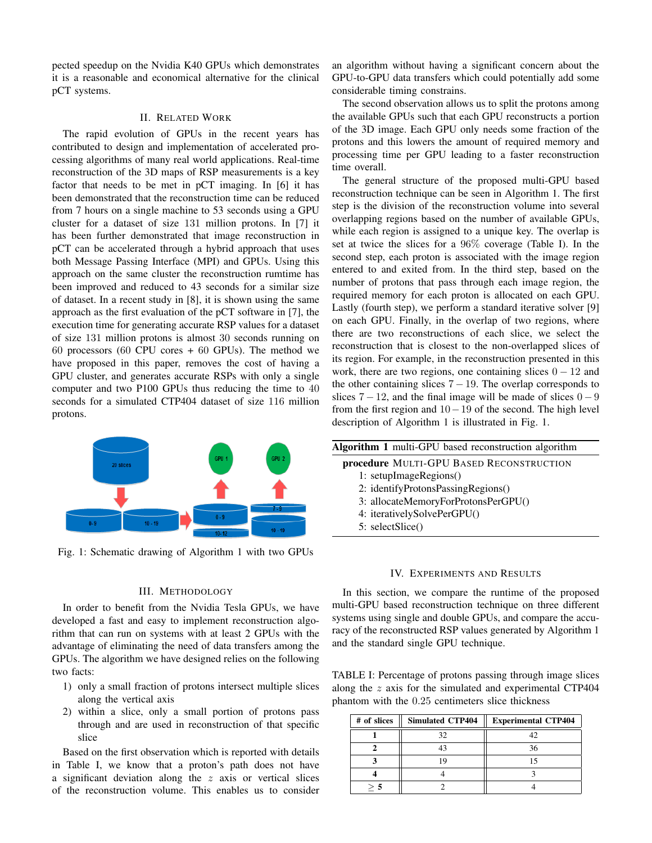pected speedup on the Nvidia K40 GPUs which demonstrates it is a reasonable and economical alternative for the clinical pCT systems.

#### II. RELATED WORK

The rapid evolution of GPUs in the recent years has contributed to design and implementation of accelerated processing algorithms of many real world applications. Real-time reconstruction of the 3D maps of RSP measurements is a key factor that needs to be met in pCT imaging. In [6] it has been demonstrated that the reconstruction time can be reduced from 7 hours on a single machine to 53 seconds using a GPU cluster for a dataset of size 131 million protons. In [7] it has been further demonstrated that image reconstruction in pCT can be accelerated through a hybrid approach that uses both Message Passing Interface (MPI) and GPUs. Using this approach on the same cluster the reconstruction rumtime has been improved and reduced to 43 seconds for a similar size of dataset. In a recent study in [8], it is shown using the same approach as the first evaluation of the pCT software in [7], the execution time for generating accurate RSP values for a dataset of size 131 million protons is almost 30 seconds running on 60 processors (60 CPU cores + 60 GPUs). The method we have proposed in this paper, removes the cost of having a GPU cluster, and generates accurate RSPs with only a single computer and two P100 GPUs thus reducing the time to 40 seconds for a simulated CTP404 dataset of size 116 million protons.



Fig. 1: Schematic drawing of Algorithm 1 with two GPUs

#### III. METHODOLOGY

In order to benefit from the Nvidia Tesla GPUs, we have developed a fast and easy to implement reconstruction algorithm that can run on systems with at least 2 GPUs with the advantage of eliminating the need of data transfers among the GPUs. The algorithm we have designed relies on the following two facts:

- 1) only a small fraction of protons intersect multiple slices along the vertical axis
- 2) within a slice, only a small portion of protons pass through and are used in reconstruction of that specific slice

Based on the first observation which is reported with details in Table I, we know that a proton's path does not have a significant deviation along the  $z$  axis or vertical slices of the reconstruction volume. This enables us to consider an algorithm without having a significant concern about the GPU-to-GPU data transfers which could potentially add some considerable timing constrains.

The second observation allows us to split the protons among the available GPUs such that each GPU reconstructs a portion of the 3D image. Each GPU only needs some fraction of the protons and this lowers the amount of required memory and processing time per GPU leading to a faster reconstruction time overall.

The general structure of the proposed multi-GPU based reconstruction technique can be seen in Algorithm 1. The first step is the division of the reconstruction volume into several overlapping regions based on the number of available GPUs, while each region is assigned to a unique key. The overlap is set at twice the slices for a 96% coverage (Table I). In the second step, each proton is associated with the image region entered to and exited from. In the third step, based on the number of protons that pass through each image region, the required memory for each proton is allocated on each GPU. Lastly (fourth step), we perform a standard iterative solver [9] on each GPU. Finally, in the overlap of two regions, where there are two reconstructions of each slice, we select the reconstruction that is closest to the non-overlapped slices of its region. For example, in the reconstruction presented in this work, there are two regions, one containing slices  $0 - 12$  and the other containing slices  $7-19$ . The overlap corresponds to slices  $7-12$ , and the final image will be made of slices  $0-9$ from the first region and 10−19 of the second. The high level description of Algorithm 1 is illustrated in Fig. 1.

| Algorithm 1 multi-GPU based reconstruction algorithm |  |
|------------------------------------------------------|--|
| procedure MULTI-GPU BASED RECONSTRUCTION             |  |
| 1: setupImageRegions()                               |  |
| 2: identifyProtonsPassingRegions()                   |  |
| 3: allocateMemoryForProtonsPerGPU()                  |  |
| 4: iterativelySolvePerGPU()                          |  |
| 5: selectSlice()                                     |  |
|                                                      |  |

#### IV. EXPERIMENTS AND RESULTS

In this section, we compare the runtime of the proposed multi-GPU based reconstruction technique on three different systems using single and double GPUs, and compare the accuracy of the reconstructed RSP values generated by Algorithm 1 and the standard single GPU technique.

TABLE I: Percentage of protons passing through image slices along the z axis for the simulated and experimental CTP404 phantom with the 0.25 centimeters slice thickness

| # of slices | <b>Simulated CTP404</b><br><b>Experimental CTP404</b> |    |
|-------------|-------------------------------------------------------|----|
|             | 37                                                    |    |
|             |                                                       | 36 |
|             |                                                       |    |
|             |                                                       |    |
|             |                                                       |    |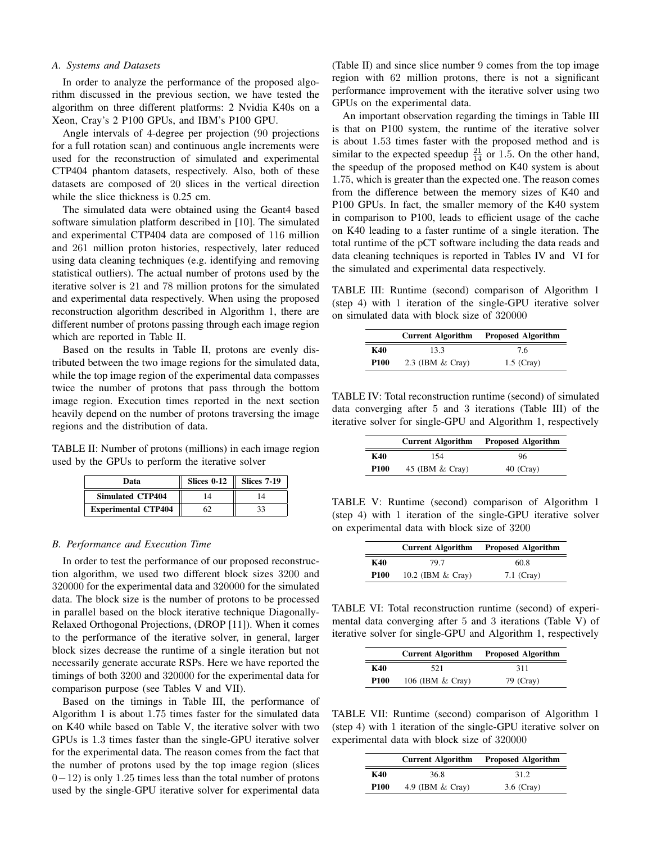#### *A. Systems and Datasets*

In order to analyze the performance of the proposed algorithm discussed in the previous section, we have tested the algorithm on three different platforms: 2 Nvidia K40s on a Xeon, Cray's 2 P100 GPUs, and IBM's P100 GPU.

Angle intervals of 4-degree per projection (90 projections for a full rotation scan) and continuous angle increments were used for the reconstruction of simulated and experimental CTP404 phantom datasets, respectively. Also, both of these datasets are composed of 20 slices in the vertical direction while the slice thickness is 0.25 cm.

The simulated data were obtained using the Geant4 based software simulation platform described in [10]. The simulated and experimental CTP404 data are composed of 116 million and 261 million proton histories, respectively, later reduced using data cleaning techniques (e.g. identifying and removing statistical outliers). The actual number of protons used by the iterative solver is 21 and 78 million protons for the simulated and experimental data respectively. When using the proposed reconstruction algorithm described in Algorithm 1, there are different number of protons passing through each image region which are reported in Table II.

Based on the results in Table II, protons are evenly distributed between the two image regions for the simulated data, while the top image region of the experimental data compasses twice the number of protons that pass through the bottom image region. Execution times reported in the next section heavily depend on the number of protons traversing the image regions and the distribution of data.

TABLE II: Number of protons (millions) in each image region used by the GPUs to perform the iterative solver

| Data                       | Slices 0-12 | <b>Slices 7-19</b> |
|----------------------------|-------------|--------------------|
| <b>Simulated CTP404</b>    |             |                    |
| <b>Experimental CTP404</b> |             | 33                 |

#### *B. Performance and Execution Time*

In order to test the performance of our proposed reconstruction algorithm, we used two different block sizes 3200 and 320000 for the experimental data and 320000 for the simulated data. The block size is the number of protons to be processed in parallel based on the block iterative technique Diagonally-Relaxed Orthogonal Projections, (DROP [11]). When it comes to the performance of the iterative solver, in general, larger block sizes decrease the runtime of a single iteration but not necessarily generate accurate RSPs. Here we have reported the timings of both 3200 and 320000 for the experimental data for comparison purpose (see Tables V and VII).

Based on the timings in Table III, the performance of Algorithm 1 is about 1.75 times faster for the simulated data on K40 while based on Table V, the iterative solver with two GPUs is 1.3 times faster than the single-GPU iterative solver for the experimental data. The reason comes from the fact that the number of protons used by the top image region (slices  $0-12$ ) is only 1.25 times less than the total number of protons used by the single-GPU iterative solver for experimental data (Table II) and since slice number 9 comes from the top image region with 62 million protons, there is not a significant performance improvement with the iterative solver using two GPUs on the experimental data.

An important observation regarding the timings in Table III is that on P100 system, the runtime of the iterative solver is about 1.53 times faster with the proposed method and is similar to the expected speedup  $\frac{21}{14}$  or 1.5. On the other hand, the speedup of the proposed method on K40 system is about 1.75, which is greater than the expected one. The reason comes from the difference between the memory sizes of K40 and P100 GPUs. In fact, the smaller memory of the K40 system in comparison to P100, leads to efficient usage of the cache on K40 leading to a faster runtime of a single iteration. The total runtime of the pCT software including the data reads and data cleaning techniques is reported in Tables IV and VI for the simulated and experimental data respectively.

TABLE III: Runtime (second) comparison of Algorithm 1 (step 4) with 1 iteration of the single-GPU iterative solver on simulated data with block size of 320000

|             | <b>Current Algorithm</b> | <b>Proposed Algorithm</b> |  |
|-------------|--------------------------|---------------------------|--|
| K40         | 13.3                     | 7.6                       |  |
| <b>P100</b> | 2.3 (IBM $&$ Cray)       | $1.5$ (Cray)              |  |

TABLE IV: Total reconstruction runtime (second) of simulated data converging after 5 and 3 iterations (Table III) of the iterative solver for single-GPU and Algorithm 1, respectively

| <b>Current Algorithm</b> |                   | <b>Proposed Algorithm</b> |  |
|--------------------------|-------------------|---------------------------|--|
| K40                      | 154               | 96                        |  |
| <b>P100</b>              | 45 (IBM $&$ Cray) | $40$ (Cray)               |  |

TABLE V: Runtime (second) comparison of Algorithm 1 (step 4) with 1 iteration of the single-GPU iterative solver on experimental data with block size of 3200

|             | <b>Current Algorithm</b> | <b>Proposed Algorithm</b> |  |
|-------------|--------------------------|---------------------------|--|
| K40         | 79.7                     | 60.8                      |  |
| <b>P100</b> | 10.2 (IBM & Cray)        | $7.1$ (Cray)              |  |

TABLE VI: Total reconstruction runtime (second) of experimental data converging after 5 and 3 iterations (Table V) of iterative solver for single-GPU and Algorithm 1, respectively

|                  | <b>Current Algorithm</b> | <b>Proposed Algorithm</b> |
|------------------|--------------------------|---------------------------|
| K40              | 521                      | 311                       |
| P <sub>100</sub> | 106 (IBM & Cray)         | 79 (Cray)                 |

TABLE VII: Runtime (second) comparison of Algorithm 1 (step 4) with 1 iteration of the single-GPU iterative solver on experimental data with block size of 320000

| <b>Current Algorithm</b> |                     | <b>Proposed Algorithm</b> |
|--------------------------|---------------------|---------------------------|
| K40                      | 36.8                | 31.2                      |
| <b>P100</b>              | 4.9 (IBM $& Cray$ ) | $3.6$ (Cray)              |